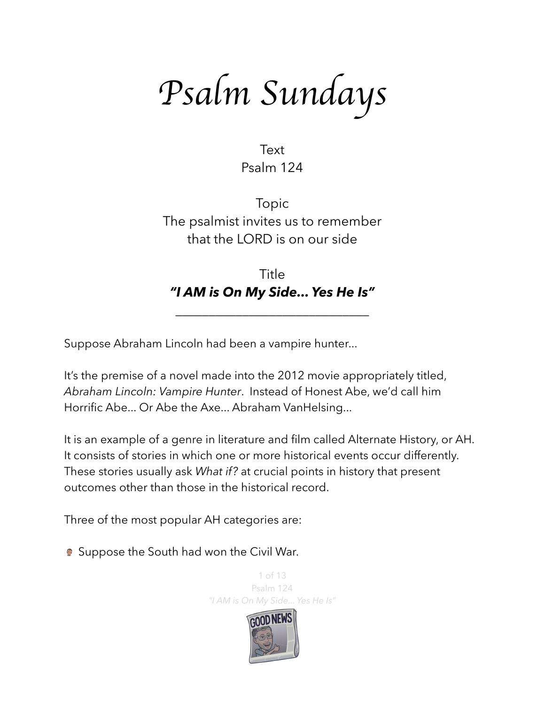*Psalm Sundays*

Text Psalm 124

Topic The psalmist invites us to remember that the LORD is on our side

Title *"I AM is On My Side... Yes He Is"*

\_\_\_\_\_\_\_\_\_\_\_\_\_\_\_\_\_\_\_\_\_\_\_\_\_\_\_\_\_

Suppose Abraham Lincoln had been a vampire hunter...

It's the premise of a novel made into the 2012 movie appropriately titled, *Abraham Lincoln: Vampire Hunter*. Instead of Honest Abe, we'd call him Horrific Abe... Or Abe the Axe... Abraham VanHelsing...

It is an example of a genre in literature and film called Alternate History, or AH. It consists of stories in which one or more historical events occur differently. These stories usually ask *What if?* at crucial points in history that present outcomes other than those in the historical record.

Three of the most popular AH categories are:

**Suppose the South had won the Civil War.** 

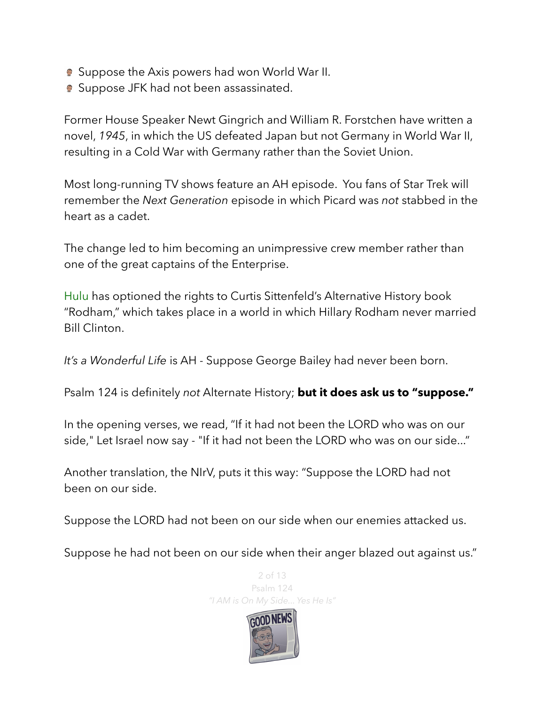- **Suppose the Axis powers had won World War II.**
- **Suppose JFK had not been assassinated.**

Former House Speaker [Newt Gingrich](https://en.wikipedia.org/wiki/Newt_Gingrich) and [William R. Forstchen](https://en.wikipedia.org/wiki/William_R._Forstchen) have written a novel, *[1945](https://en.wikipedia.org/wiki/1945_(Gingrich_novel))*, in which the US defeated [Japan](https://en.wikipedia.org/wiki/Empire_of_Japan) but not [Germany](https://en.wikipedia.org/wiki/Nazi_Germany) in World War II, resulting in a Cold War with Germany rather than the Soviet Union.

Most long-running TV shows feature an AH episode. You fans of Star Trek will remember the *Next Generation* episode in which Picard was *not* stabbed in the heart as a cadet.

The change led to him becoming an unimpressive crew member rather than one of the great captains of the Enterprise.

Hulu has optioned the rights to Curtis Sittenfeld's Alternative History book "Rodham," which takes place in a world in which Hillary Rodham never married Bill Clinton.

*It's a Wonderful Life* is AH - Suppose George Bailey had never been born.

Psalm 124 is definitely *not* Alternate History; **but it does ask us to "suppose."**

In the opening verses, we read, "If it had not been the LORD who was on our side," Let Israel now say - "If it had not been the LORD who was on our side..."

Another translation, the NIrV, puts it this way: "Suppose the LORD had not been on our side.

Suppose the LORD had not been on our side when our enemies attacked us.

Suppose he had not been on our side when their anger blazed out against us."



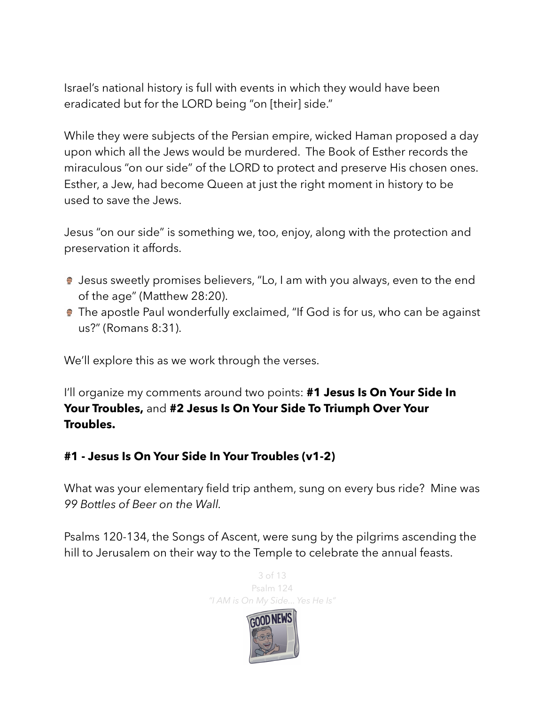Israel's national history is full with events in which they would have been eradicated but for the LORD being "on [their] side."

While they were subjects of the Persian empire, wicked Haman proposed a day upon which all the Jews would be murdered. The Book of Esther records the miraculous "on our side" of the LORD to protect and preserve His chosen ones. Esther, a Jew, had become Queen at just the right moment in history to be used to save the Jews.

Jesus "on our side" is something we, too, enjoy, along with the protection and preservation it affords.

- **Jesus sweetly promises believers, "Lo, I am with you always, even to the end** of the age" (Matthew 28:20).
- **The apostle Paul wonderfully exclaimed, "If God is for us, who can be against** us?" (Romans 8:31).

We'll explore this as we work through the verses.

I'll organize my comments around two points: **#1 Jesus Is On Your Side In Your Troubles,** and **#2 Jesus Is On Your Side To Triumph Over Your Troubles.** 

## **#1 - Jesus Is On Your Side In Your Troubles (v1-2)**

What was your elementary field trip anthem, sung on every bus ride? Mine was *99 Bottles of Beer on the Wall.* 

Psalms 120-134, the Songs of Ascent, were sung by the pilgrims ascending the hill to Jerusalem on their way to the Temple to celebrate the annual feasts.

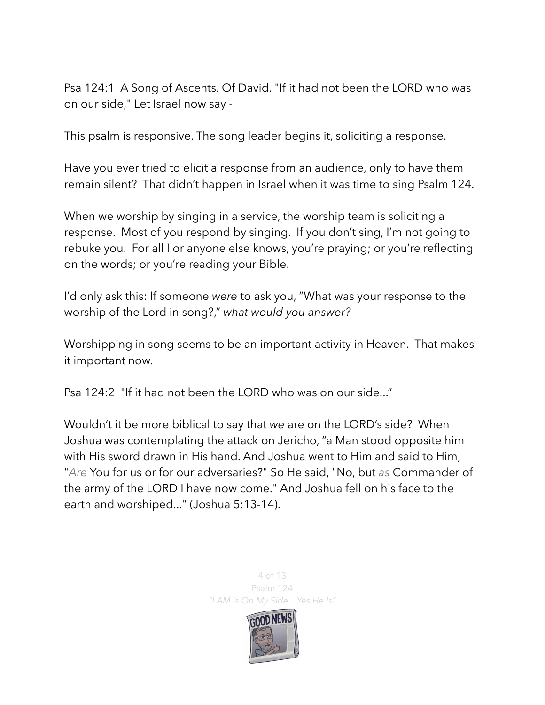Psa 124:1 A Song of Ascents. Of David. "If it had not been the LORD who was on our side," Let Israel now say -

This psalm is responsive. The song leader begins it, soliciting a response.

Have you ever tried to elicit a response from an audience, only to have them remain silent? That didn't happen in Israel when it was time to sing Psalm 124.

When we worship by singing in a service, the worship team is soliciting a response. Most of you respond by singing. If you don't sing, I'm not going to rebuke you. For all I or anyone else knows, you're praying; or you're reflecting on the words; or you're reading your Bible.

I'd only ask this: If someone *were* to ask you, "What was your response to the worship of the Lord in song?," *what would you answer?*

Worshipping in song seems to be an important activity in Heaven. That makes it important now.

Psa 124:2 "If it had not been the LORD who was on our side..."

Wouldn't it be more biblical to say that *we* are on the LORD's side? When Joshua was contemplating the attack on Jericho, "a Man stood opposite him with His sword drawn in His hand. And Joshua went to Him and said to Him, "*Are* You for us or for our adversaries?" So He said, "No, but *as* Commander of the army of the LORD I have now come." And Joshua fell on his face to the earth and worshiped..." (Joshua 5:13-14).

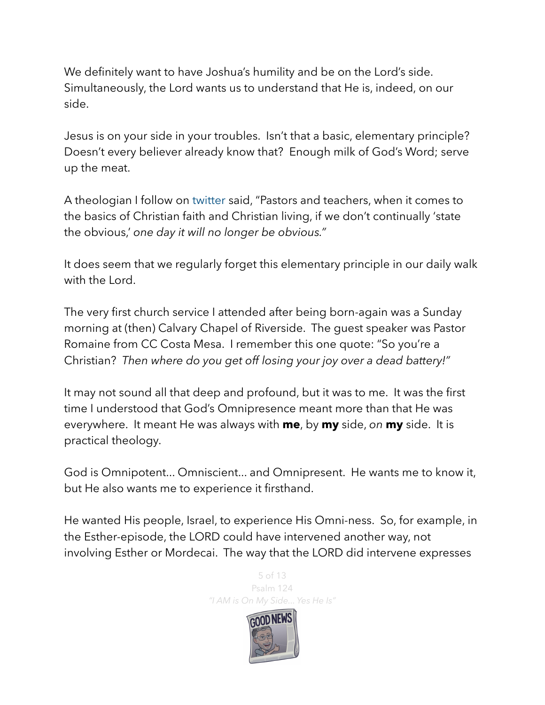We definitely want to have Joshua's humility and be on the Lord's side. Simultaneously, the Lord wants us to understand that He is, indeed, on our side.

Jesus is on your side in your troubles. Isn't that a basic, elementary principle? Doesn't every believer already know that? Enough milk of God's Word; serve up the meat.

A theologian I follow on twitter said, "Pastors and teachers, when it comes to the basics of Christian faith and Christian living, if we don't continually 'state the obvious,' *one day it will no longer be obvious."* 

It does seem that we regularly forget this elementary principle in our daily walk with the Lord.

The very first church service I attended after being born-again was a Sunday morning at (then) Calvary Chapel of Riverside. The guest speaker was Pastor Romaine from CC Costa Mesa. I remember this one quote: "So you're a Christian? *Then where do you get off losing your joy over a dead battery!"* 

It may not sound all that deep and profound, but it was to me. It was the first time I understood that God's Omnipresence meant more than that He was everywhere. It meant He was always with **me**, by **my** side, *on* **my** side. It is practical theology.

God is Omnipotent... Omniscient... and Omnipresent. He wants me to know it, but He also wants me to experience it firsthand.

He wanted His people, Israel, to experience His Omni-ness. So, for example, in the Esther-episode, the LORD could have intervened another way, not involving Esther or Mordecai. The way that the LORD did intervene expresses



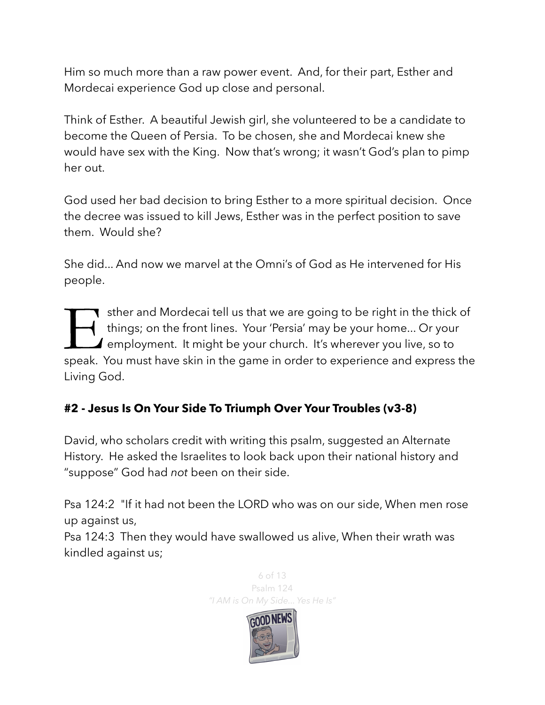Him so much more than a raw power event. And, for their part, Esther and Mordecai experience God up close and personal.

Think of Esther. A beautiful Jewish girl, she volunteered to be a candidate to become the Queen of Persia. To be chosen, she and Mordecai knew she would have sex with the King. Now that's wrong; it wasn't God's plan to pimp her out.

God used her bad decision to bring Esther to a more spiritual decision. Once the decree was issued to kill Jews, Esther was in the perfect position to save them. Would she?

She did... And now we marvel at the Omni's of God as He intervened for His people.

Sther and Mordecai tell us that we are going to be right in the thick of things; on the front lines. Your 'Persia' may be your home... Or your employment. It might be your church. It's wherever you live, so to speak. You m things; on the front lines. Your 'Persia' may be your home... Or your  $\blacktriangle$  employment. It might be your church. It's wherever you live, so to speak. You must have skin in the game in order to experience and express the Living God.

## **#2 - Jesus Is On Your Side To Triumph Over Your Troubles (v3-8)**

David, who scholars credit with writing this psalm, suggested an Alternate History. He asked the Israelites to look back upon their national history and "suppose" God had *not* been on their side.

Psa 124:2 "If it had not been the LORD who was on our side, When men rose up against us,

Psa 124:3 Then they would have swallowed us alive, When their wrath was kindled against us;

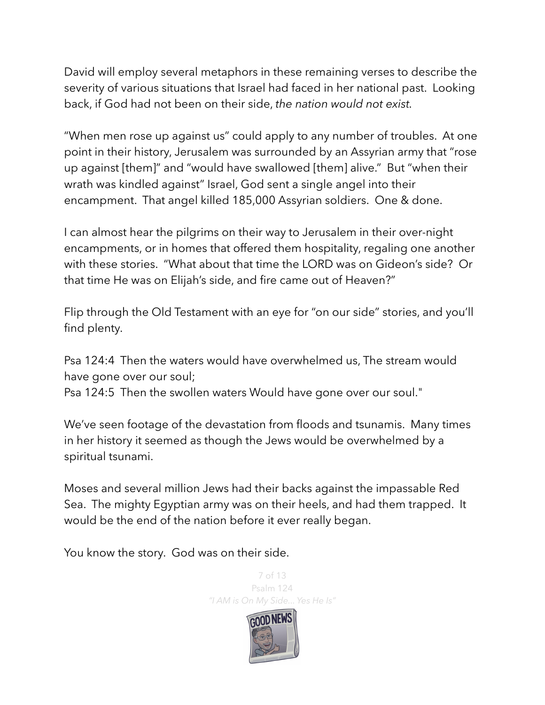David will employ several metaphors in these remaining verses to describe the severity of various situations that Israel had faced in her national past. Looking back, if God had not been on their side, *the nation would not exist.* 

"When men rose up against us" could apply to any number of troubles. At one point in their history, Jerusalem was surrounded by an Assyrian army that "rose up against [them]" and "would have swallowed [them] alive." But "when their wrath was kindled against" Israel, God sent a single angel into their encampment. That angel killed 185,000 Assyrian soldiers. One & done.

I can almost hear the pilgrims on their way to Jerusalem in their over-night encampments, or in homes that offered them hospitality, regaling one another with these stories. "What about that time the LORD was on Gideon's side? Or that time He was on Elijah's side, and fire came out of Heaven?"

Flip through the Old Testament with an eye for "on our side" stories, and you'll find plenty.

Psa 124:4 Then the waters would have overwhelmed us, The stream would have gone over our soul;

Psa 124:5 Then the swollen waters Would have gone over our soul."

We've seen footage of the devastation from floods and tsunamis. Many times in her history it seemed as though the Jews would be overwhelmed by a spiritual tsunami.

Moses and several million Jews had their backs against the impassable Red Sea. The mighty Egyptian army was on their heels, and had them trapped. It would be the end of the nation before it ever really began.

You know the story. God was on their side.

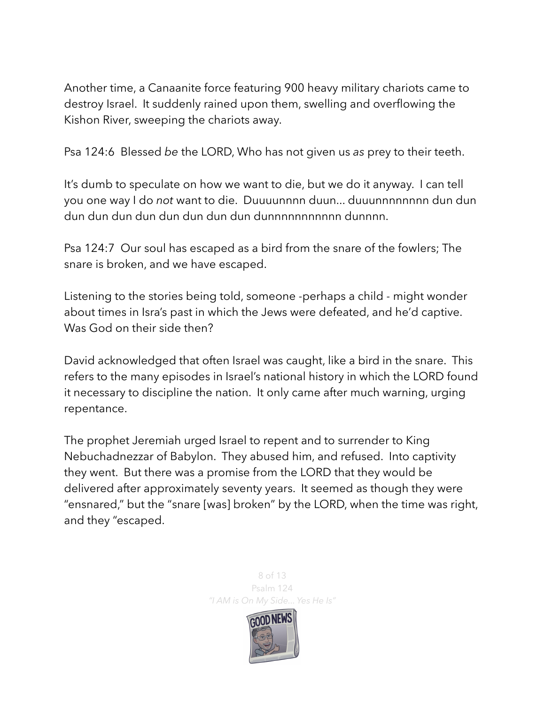Another time, a Canaanite force featuring 900 heavy military chariots came to destroy Israel. It suddenly rained upon them, swelling and overflowing the Kishon River, sweeping the chariots away.

Psa 124:6 Blessed *be* the LORD, Who has not given us *as* prey to their teeth.

It's dumb to speculate on how we want to die, but we do it anyway. I can tell you one way I do *not* want to die. Duuuunnnn duun... duuunnnnnnnn dun dun dun dun dun dun dun dun dun dun dunnnnnnnnnnn dunnnn.

Psa 124:7 Our soul has escaped as a bird from the snare of the fowlers; The snare is broken, and we have escaped.

Listening to the stories being told, someone -perhaps a child - might wonder about times in Isra's past in which the Jews were defeated, and he'd captive. Was God on their side then?

David acknowledged that often Israel was caught, like a bird in the snare. This refers to the many episodes in Israel's national history in which the LORD found it necessary to discipline the nation. It only came after much warning, urging repentance.

The prophet Jeremiah urged Israel to repent and to surrender to King Nebuchadnezzar of Babylon. They abused him, and refused. Into captivity they went. But there was a promise from the LORD that they would be delivered after approximately seventy years. It seemed as though they were "ensnared," but the "snare [was] broken" by the LORD, when the time was right, and they "escaped.

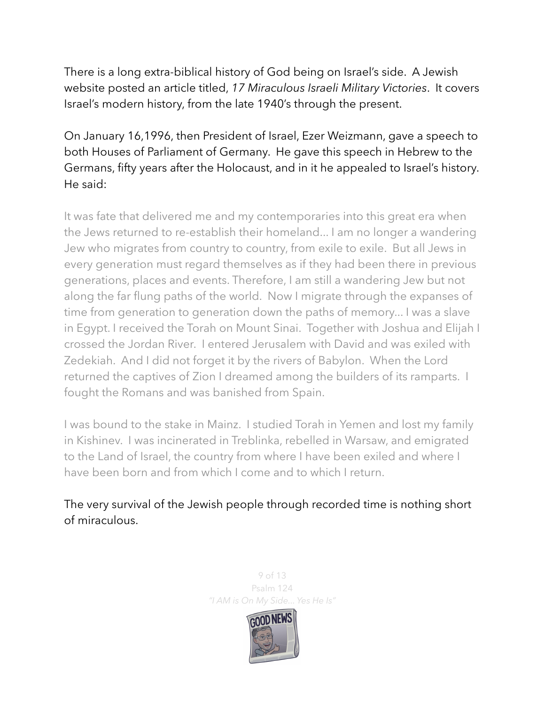There is a long extra-biblical history of God being on Israel's side. A Jewish website posted an article titled, *17 Miraculous Israeli Military Victories*. It covers Israel's modern history, from the late 1940's through the present.

## On January 16,1996, then President of Israel, Ezer Weizmann, gave a speech to both Houses of Parliament of Germany. He gave this speech in Hebrew to the Germans, fifty years after the Holocaust, and in it he appealed to Israel's history. He said:

It was fate that delivered me and my contemporaries into this great era when the Jews returned to re-establish their homeland... I am no longer a wandering Jew who migrates from country to country, from exile to exile. But all Jews in every generation must regard themselves as if they had been there in previous generations, places and events. Therefore, I am still a wandering Jew but not along the far flung paths of the world. Now I migrate through the expanses of time from generation to generation down the paths of memory... I was a slave in Egypt. I received the Torah on Mount Sinai. Together with Joshua and Elijah I crossed the Jordan River. I entered Jerusalem with David and was exiled with Zedekiah. And I did not forget it by the rivers of Babylon. When the Lord returned the captives of Zion I dreamed among the builders of its ramparts. I fought the Romans and was banished from Spain.

I was bound to the stake in Mainz. I studied Torah in Yemen and lost my family in Kishinev. I was incinerated in Treblinka, rebelled in Warsaw, and emigrated to the Land of Israel, the country from where I have been exiled and where I have been born and from which I come and to which I return.

The very survival of the Jewish people through recorded time is nothing short of miraculous.

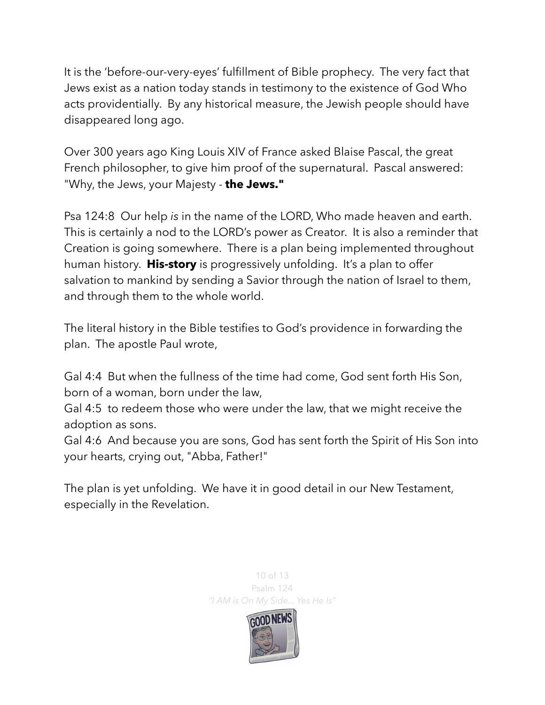It is the 'before-our-very-eyes' fulfillment of Bible prophecy. The very fact that Jews exist as a nation today stands in testimony to the existence of God Who acts providentially. By any historical measure, the Jewish people should have disappeared long ago.

Over 300 years ago King Louis XIV of France asked Blaise Pascal, the great French philosopher, to give him proof of the supernatural. Pascal answered: "Why, the Jews, your Majesty - **the Jews."**

Psa 124:8 Our help *is* in the name of the LORD, Who made heaven and earth. This is certainly a nod to the LORD's power as Creator. It is also a reminder that Creation is going somewhere. There is a plan being implemented throughout human history. **His-story** is progressively unfolding. It's a plan to offer salvation to mankind by sending a Savior through the nation of Israel to them, and through them to the whole world.

The literal history in the Bible testifies to God's providence in forwarding the plan. The apostle Paul wrote,

Gal 4:4 But when the fullness of the time had come, God sent forth His Son, born of a woman, born under the law,

Gal 4:5 to redeem those who were under the law, that we might receive the adoption as sons.

Gal 4:6 And because you are sons, God has sent forth the Spirit of His Son into your hearts, crying out, "Abba, Father!"

The plan is yet unfolding. We have it in good detail in our New Testament, especially in the Revelation.



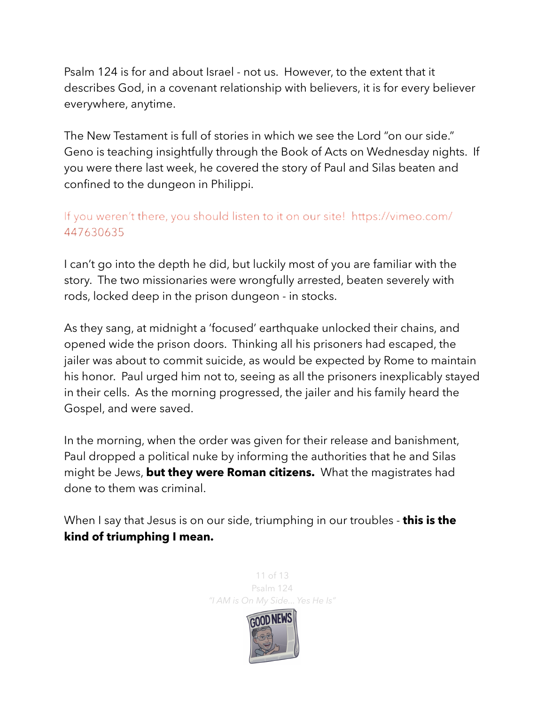Psalm 124 is for and about Israel - not us. However, to the extent that it describes God, in a covenant relationship with believers, it is for every believer everywhere, anytime.

The New Testament is full of stories in which we see the Lord "on our side." Geno is teaching insightfully through the Book of Acts on Wednesday nights. If you were there last week, he covered the story of Paul and Silas beaten and confined to the dungeon in Philippi.

## If you weren't there, you should listen to it on our site! https://vimeo.com/ 447630635

I can't go into the depth he did, but luckily most of you are familiar with the story. The two missionaries were wrongfully arrested, beaten severely with rods, locked deep in the prison dungeon - in stocks.

As they sang, at midnight a 'focused' earthquake unlocked their chains, and opened wide the prison doors. Thinking all his prisoners had escaped, the jailer was about to commit suicide, as would be expected by Rome to maintain his honor. Paul urged him not to, seeing as all the prisoners inexplicably stayed in their cells. As the morning progressed, the jailer and his family heard the Gospel, and were saved.

In the morning, when the order was given for their release and banishment, Paul dropped a political nuke by informing the authorities that he and Silas might be Jews, **but they were Roman citizens.** What the magistrates had done to them was criminal.

When I say that Jesus is on our side, triumphing in our troubles - **this is the kind of triumphing I mean.** 

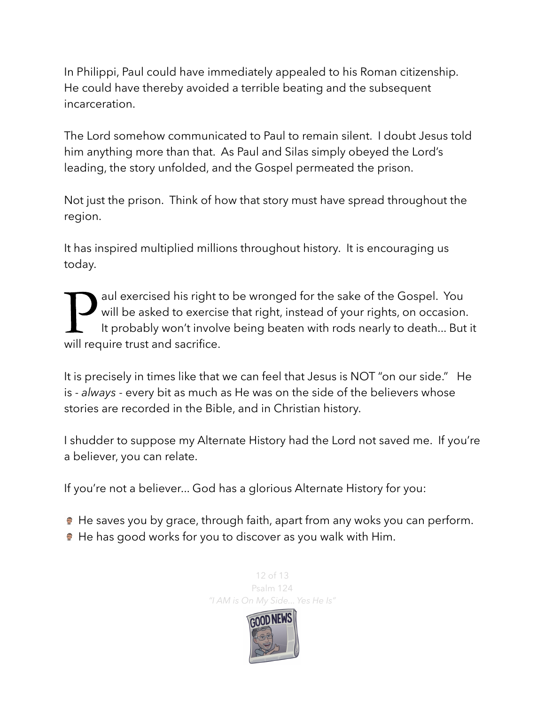In Philippi, Paul could have immediately appealed to his Roman citizenship. He could have thereby avoided a terrible beating and the subsequent incarceration.

The Lord somehow communicated to Paul to remain silent. I doubt Jesus told him anything more than that. As Paul and Silas simply obeyed the Lord's leading, the story unfolded, and the Gospel permeated the prison.

Not just the prison. Think of how that story must have spread throughout the region.

It has inspired multiplied millions throughout history. It is encouraging us today.

**Paul exercised his right to be wronged for the sake of the Gospel. You will be asked to exercise that right, instead of your rights, on occasion It probably won't involve being beaten with rods nearly to death... But will** will be asked to exercise that right, instead of your rights, on occasion. It probably won't involve being beaten with rods nearly to death... But it will require trust and sacrifice.

It is precisely in times like that we can feel that Jesus is NOT "on our side." He is - *always* - every bit as much as He was on the side of the believers whose stories are recorded in the Bible, and in Christian history.

I shudder to suppose my Alternate History had the Lord not saved me. If you're a believer, you can relate.

If you're not a believer... God has a glorious Alternate History for you:

He saves you by grace, through faith, apart from any woks you can perform.

He has good works for you to discover as you walk with Him.